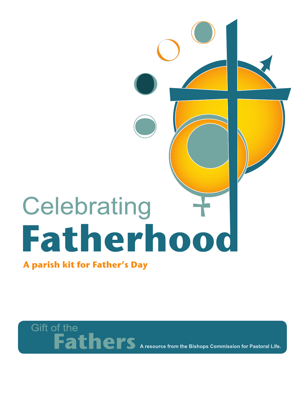# Celebrating **Fatherhood**

**A parish kit for Father's Day** 

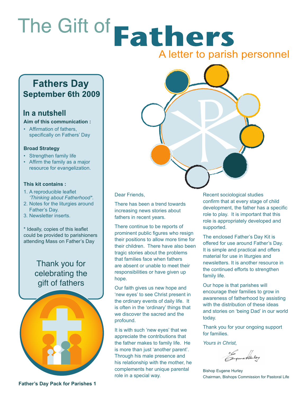# The Gift of Fathers A letter to parish personnel

### **Fathers Day September 6th 2009**

### In a nutshell

**Aim of this communication :**

• Affirmation of fathers, specifically on Fathers' Day

#### **Broad Strategy**

- Strengthen family life
- Affirm the family as a major resource for evangelization.

#### **This kit contains :**

- 1. A reproducible leaflet *'Thinking about Fatherhood\*.*
- 2. Notes for the liturgies around Father's Day.
- 3. Newsletter inserts.

\* Ideally, copies of this leaflet could be provided to parishioners attending Mass on Father's Day

> Thank you for celebrating the gift of fathers



**Father's Day Pack for Parishes 1**



Dear Friends,

There has been a trend towards increasing news stories about fathers in recent years.

There continue to be reports of prominent public figures who resign their positions to allow more time for their children. There have also been tragic stories about the problems that families face when fathers are absent or unable to meet their responsibilities or have given up hope.

Our faith gives us new hope and 'new eyes' to see Christ present in the ordinary events of daily life. It is often in the 'ordinary' things that we discover the sacred and the profound.

It is with such 'new eyes' that we appreciate the contributions that the father makes to family life. He is more than just 'another parent'. Through his male presence and his relationship with the mother, he complements her unique parental role in a special way.

Recent sociological studies confirm that at every stage of child development, the father has a specific role to play. It is important that this role is appropriately developed and supported.

The enclosed Father's Day Kit is offered for use around Father's Day. It is simple and practical and offers material for use in liturgies and newsletters. It is another resource in the continued efforts to strengthen family life.

Our hope is that parishes will encourage their families to grow in awareness of fatherhood by assisting with the distribution of these ideas and stories on 'being Dad' in our world today.

Thank you for your ongoing support for families.

*Yours in Christ,*

+ Come Houley

Bishop Eugene Hurley Chairman, Bishops Commission for Pastoral Life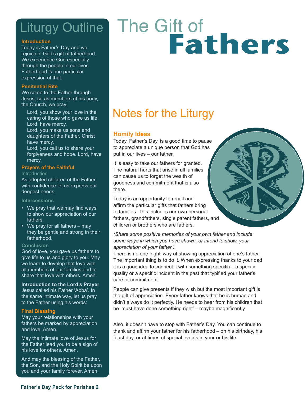# Liturgy Outline

#### **Introduction**

Today is Father's Day and we rejoice in God's gift of fatherhood. We experience God especially through the people in our lives. Fatherhood is one particular expression of that.

#### **Penitential Rite**

We come to the Father through Jesus, so as members of his body, the Church, we pray:

 Lord, you show your love in the caring of those who gave us life. Lord, have mercy.

 Lord, you make us sons and daughters of the Father. Christ have mercy.

 Lord, you call us to share your forgiveness and hope. Lord, have mercy.

#### **Prayers of the Faithful Introduction**

As adopted children of the Father, with confidence let us express our deepest needs.

**Intercessions**

- We pray that we may find ways to show our appreciation of our fathers.
- We pray for all fathers  $-$  may they be gentle and strong in their fatherhood.

#### **Conclusion**

God of love, you gave us fathers to give life to us and glory to you. May we learn to develop that love with all members of our families and to share that love with others. Amen.

**Introduction to the Lord's Prayer** Jesus called his Father 'Abba'. In the same intimate way, let us pray to the Father using his words:

#### **Final Blessing**

May your relationships with your fathers be marked by appreciation and love. Amen.

May the intimate love of Jesus for the Father lead you to be a sign of his love for others. Amen.

And may the blessing of the Father, the Son, and the Holy Spirit be upon you and your family forever. Amen.

# The Gift of **Fathers**

# **Notes for the Liturgy**

#### **Homily Ideas**

Today, Father's Day, is a good time to pause to appreciate a unique person that God has put in our lives – our father.

It is easy to take our fathers for granted. The natural hurts that arise in all families can cause us to forget the wealth of goodness and commitment that is also there.

Today is an opportunity to recall and affirm the particular gifts that fathers bring to families. This includes our own personal fathers, grandfathers, single parent fathers, and children or brothers who are fathers.

*(Share some positive memories of your own father and include some ways in which you have shown, or intend to show, your appreciation of your father.)*

There is no one 'right' way of showing appreciation of one's father. The important thing is to do it. When expressing thanks to your dad it is a good idea to connect it with something specific – a specific quality or a specific incident in the past that typified your father's care or commitment.

People can give presents if they wish but the most important gift is the gift of appreciation. Every father knows that he is human and didn't always do it perfectly. He needs to hear from his children that he 'must have done something right' – maybe magnificently.

Also, it doesn't have to stop with Father's Day. You can continue to thank and affirm your father for his fatherhood – on his birthday, his feast day, or at times of special events in your or his life.